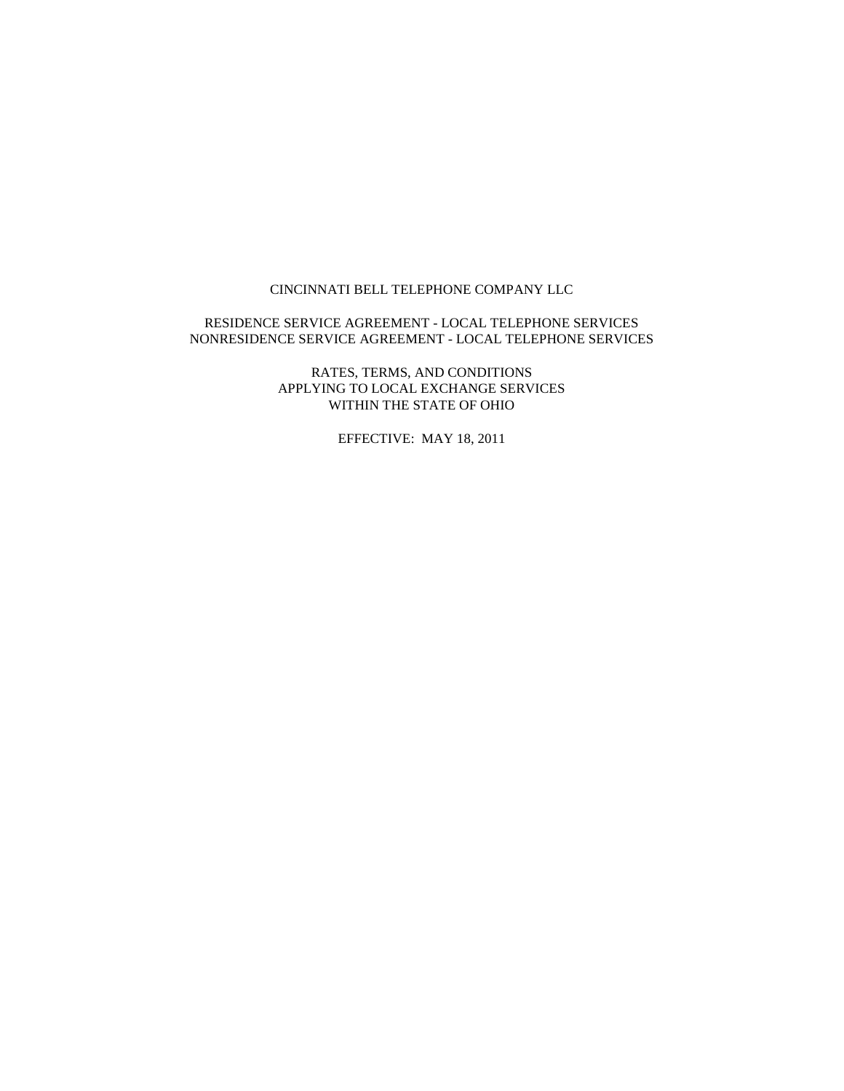#### CINCINNATI BELL TELEPHONE COMPANY LLC

#### RESIDENCE SERVICE AGREEMENT - LOCAL TELEPHONE SERVICES NONRESIDENCE SERVICE AGREEMENT - LOCAL TELEPHONE SERVICES

RATES, TERMS, AND CONDITIONS APPLYING TO LOCAL EXCHANGE SERVICES WITHIN THE STATE OF OHIO

EFFECTIVE: MAY 18, 2011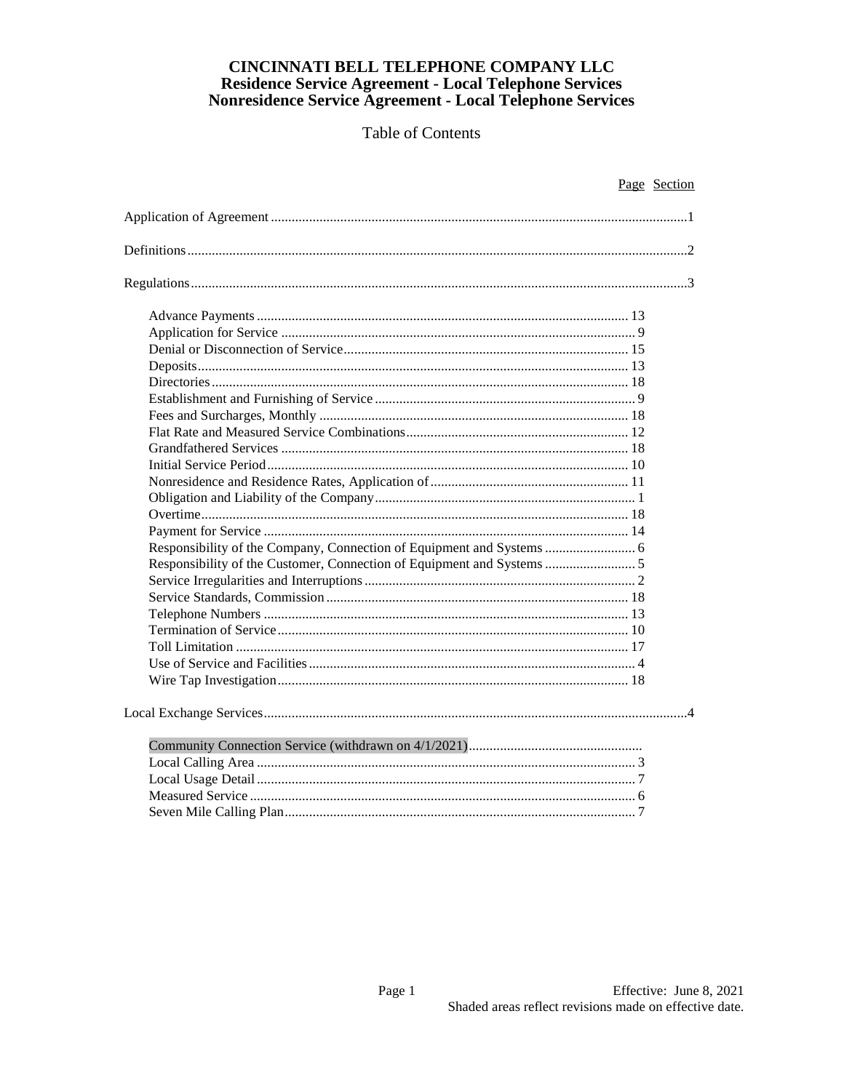|                                                                        | Page Section |
|------------------------------------------------------------------------|--------------|
|                                                                        |              |
|                                                                        |              |
|                                                                        |              |
|                                                                        |              |
|                                                                        |              |
|                                                                        |              |
|                                                                        |              |
|                                                                        |              |
|                                                                        |              |
|                                                                        |              |
|                                                                        |              |
|                                                                        |              |
|                                                                        |              |
|                                                                        |              |
|                                                                        |              |
|                                                                        |              |
|                                                                        |              |
| Responsibility of the Company, Connection of Equipment and Systems  6  |              |
| Responsibility of the Customer, Connection of Equipment and Systems  5 |              |
|                                                                        |              |
|                                                                        |              |
|                                                                        |              |
|                                                                        |              |
|                                                                        |              |
|                                                                        |              |
|                                                                        |              |
|                                                                        |              |
|                                                                        |              |
|                                                                        |              |
|                                                                        |              |
|                                                                        |              |
|                                                                        |              |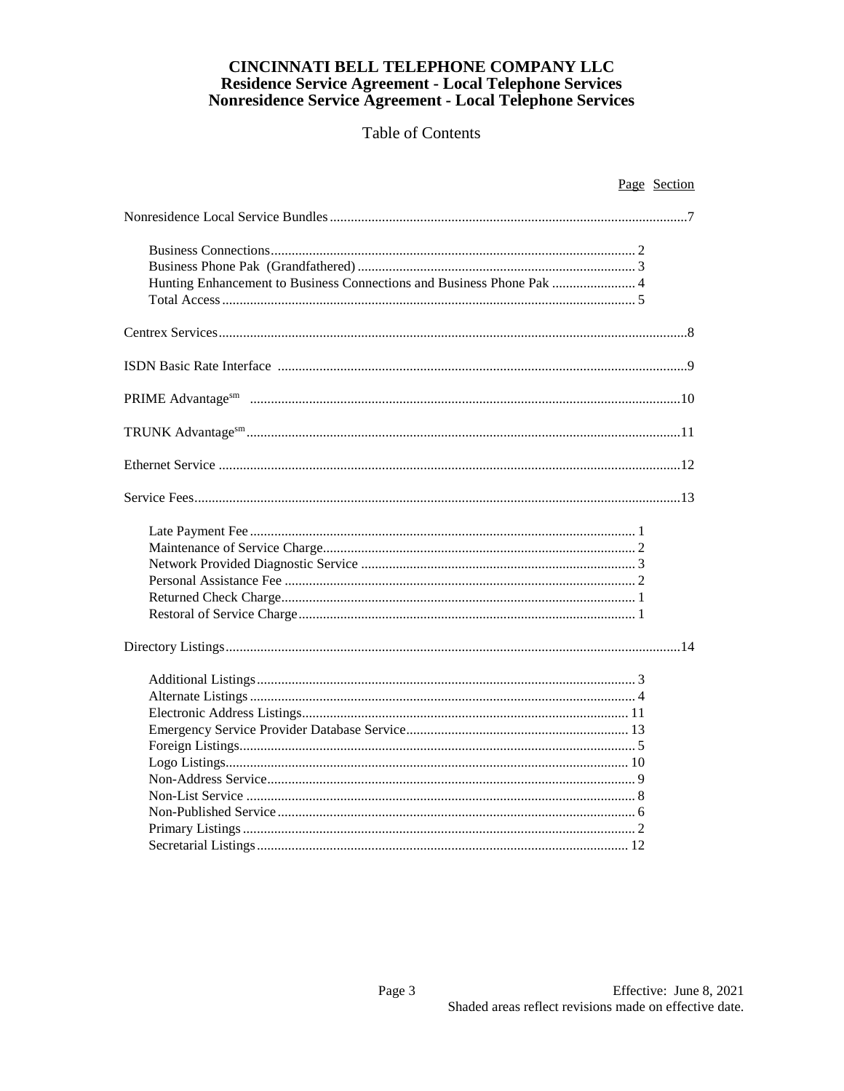# CINCINNATI BELL TELEPHONE COMPANY LLC Residence Service Agreement - Local Telephone Services<br>Nonresidence Service Agreement - Local Telephone Services

|                                                                       | Page Section |
|-----------------------------------------------------------------------|--------------|
|                                                                       |              |
|                                                                       |              |
|                                                                       |              |
| Hunting Enhancement to Business Connections and Business Phone Pak  4 |              |
|                                                                       |              |
|                                                                       |              |
|                                                                       |              |
|                                                                       |              |
|                                                                       |              |
|                                                                       |              |
|                                                                       |              |
|                                                                       |              |
|                                                                       |              |
|                                                                       |              |
|                                                                       |              |
|                                                                       |              |
|                                                                       |              |
|                                                                       |              |
|                                                                       |              |
|                                                                       |              |
|                                                                       |              |
|                                                                       |              |
|                                                                       |              |
|                                                                       |              |
|                                                                       |              |
|                                                                       |              |
|                                                                       |              |
|                                                                       |              |
|                                                                       |              |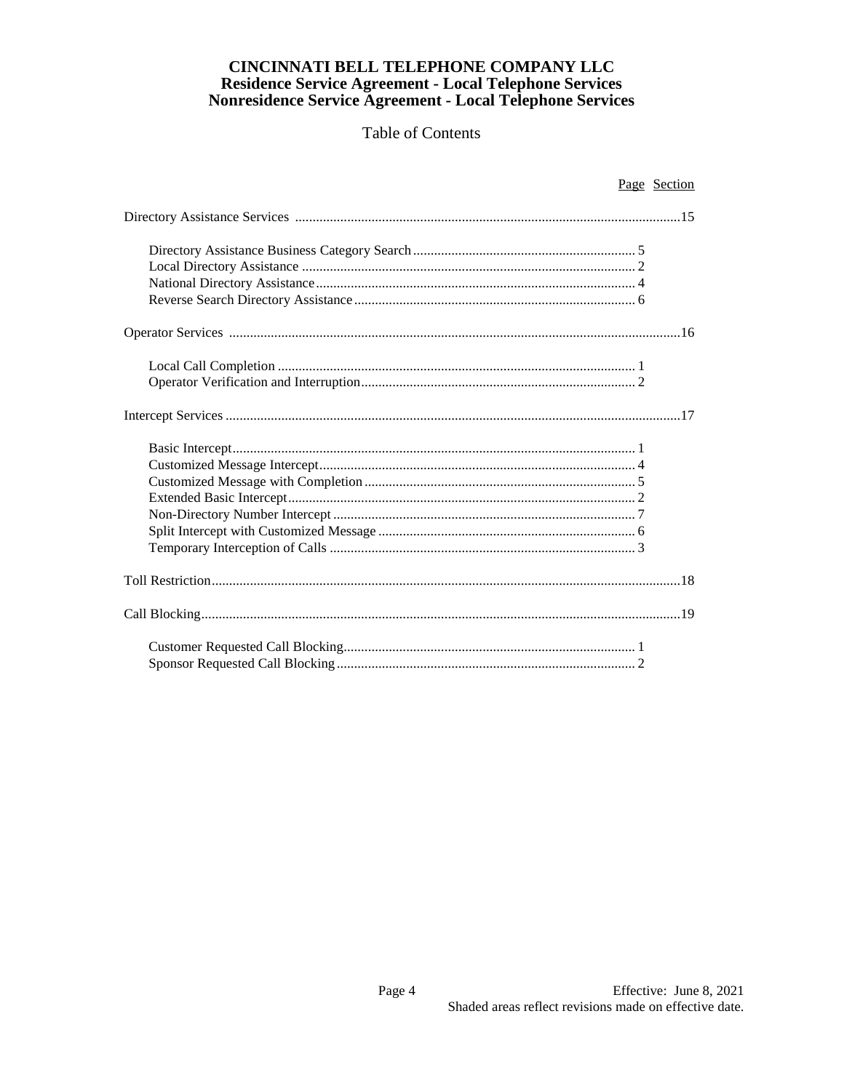| Page Section |
|--------------|
|              |
|              |
|              |
|              |
|              |
|              |
|              |
|              |
|              |